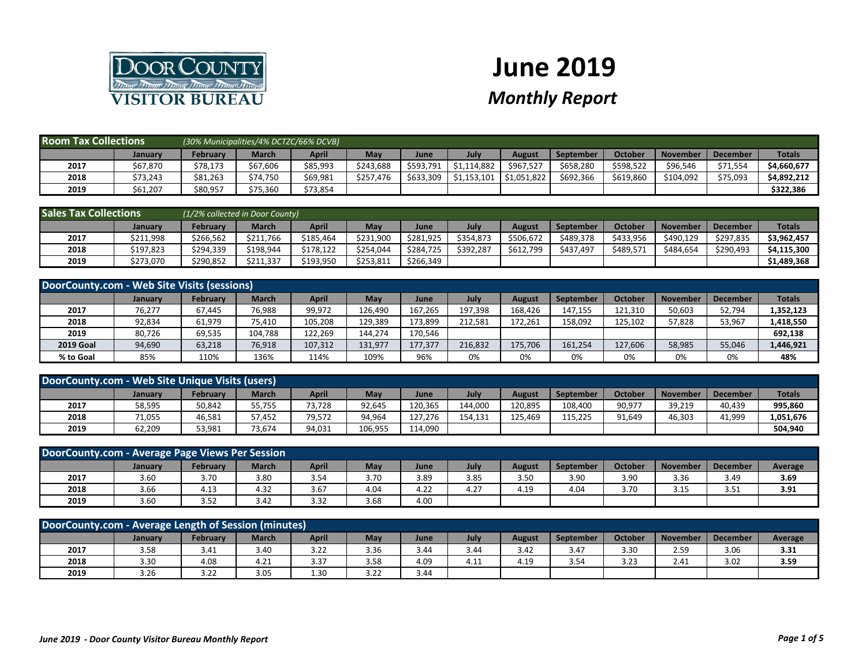

## **June 2019** *Monthly Report*

| <b>Room Tax Collections</b> |          |          | (30% Municipalities/4% DCTZC/66% DCVB) |              |           |             |             |             |                  |                |                 |                 |               |
|-----------------------------|----------|----------|----------------------------------------|--------------|-----------|-------------|-------------|-------------|------------------|----------------|-----------------|-----------------|---------------|
|                             | January  | February | <b>March</b>                           | <b>April</b> | May       | <b>June</b> | July        | August      | <b>September</b> | <b>October</b> | <b>November</b> | <b>December</b> | <b>Totals</b> |
| 2017                        | \$67,870 | \$78,173 | \$67,606                               | \$85,993     | \$243,688 | \$593,791   | \$1,114,882 | \$967.527   | \$658,280        | \$598,522      | \$96,546        | \$71,554        | \$4,660,677   |
| 2018                        | \$73,243 | \$81,263 | \$74,750                               | \$69,981     | \$257,476 | \$633,309   | \$1,153,101 | \$1,051,822 | \$692,366        | \$619,860      | \$104,092       | \$75,093        | \$4,892,212   |
| 2019                        | \$61,207 | \$80,957 | \$75,360                               | \$73,854     |           |             |             |             |                  |                |                 |                 | \$322,386     |

| <b>Sales Tax Collections</b> |           | (1/2% collected in Door County) |              |           |           |           |           |           |                  |                |                 |                 |               |
|------------------------------|-----------|---------------------------------|--------------|-----------|-----------|-----------|-----------|-----------|------------------|----------------|-----------------|-----------------|---------------|
|                              | January   | <b>February</b>                 | <b>March</b> | April     | May       | June      | July      | August    | <b>September</b> | <b>October</b> | <b>November</b> | <b>December</b> | <b>Totals</b> |
| 2017                         | \$211,998 | \$266.562                       | \$211.766    | \$185.464 | \$231.900 | \$281.925 | \$354.873 | \$506,672 | \$489.378        | \$433,956      | \$490.129       | \$297.835       | \$3,962,457   |
| 2018                         | \$197,823 | \$294.339                       | \$198,944    | \$178.122 | \$254.044 | \$284,725 | \$392.287 | \$612.799 | \$437.497        | \$489.57       | \$484.654       | \$290,493       | \$4,115,300   |
| 2019                         | \$273,070 | \$290,852                       | \$211,337    | \$193,950 | \$253,811 | \$266,349 |           |           |                  |                |                 |                 | \$1,489,368   |

| DoorCounty.com - Web Site Visits (sessions) |                |                 |              |         |         |         |         |         |                  |         |          |                 |               |
|---------------------------------------------|----------------|-----------------|--------------|---------|---------|---------|---------|---------|------------------|---------|----------|-----------------|---------------|
|                                             | <b>January</b> | <b>February</b> | <b>March</b> | April   | May     | June    | July    | August  | <b>September</b> | October | November | <b>December</b> | <b>Totals</b> |
| 2017                                        | 76,277         | 67.445          | 76,988       | 99,972  | 126.490 | 167.265 | 197.398 | 168.426 | 147.155          | 121.310 | 50,603   | 52,794          | 1,352,123     |
| 2018                                        | 92,834         | 61,979          | 75,410       | 105,208 | 129,389 | 173,899 | 212.581 | 172.261 | 158,092          | 125,102 | 57,828   | 53,967          | 1,418,550     |
| 2019                                        | 80,726         | 69,535          | 104,788      | 122,269 | 144.274 | 170,546 |         |         |                  |         |          |                 | 692,138       |
| <b>2019 Goal</b>                            | 94,690         | 63,218          | 76,918       | 107,312 | 131.977 | 177,377 | 216,832 | 175,706 | 161.254          | 127.606 | 58,985   | 55,046          | 1,446,921     |
| % to Goal                                   | 85%            | 110%            | 136%         | 114%    | 109%    | 96%     | 0%      | 0%      | 0%               | 0%      | 0%       | 0%              | 48%           |

| DoorCounty.com - Web Site Unique Visits (users) |         |          |              |              |         |         |         |         |           |         |          |                 |               |
|-------------------------------------------------|---------|----------|--------------|--------------|---------|---------|---------|---------|-----------|---------|----------|-----------------|---------------|
|                                                 | Januarv | February | <b>March</b> | <b>April</b> | May     | June    | July    | August  | September | October | November | <b>December</b> | <b>Totals</b> |
| 2017                                            | 58,595  | 50,842   | 55,755       | 73,728       | 92,645  | 120.365 | 144,000 | 120,895 | 108,400   | 90,977  | 39,219   | 40,439          | 995,860       |
| 2018                                            | 71,055  | 46.581   | 57.452       | 79,572       | 94,964  | 127.276 | 154.131 | 125.469 | 115.225   | 91,649  | 46,303   | 41.999          | 1,051,676     |
| 2019                                            | 62,209  | 53,981   | 73,674       | 94,031       | 106,955 | 114.090 |         |         |           |         |          |                 | 504,940       |

| DoorCounty.com - Average Page Views Per Session |                |          |              |              |            |      |      |        |           |         |          |          |         |
|-------------------------------------------------|----------------|----------|--------------|--------------|------------|------|------|--------|-----------|---------|----------|----------|---------|
|                                                 | <b>January</b> | February | <b>March</b> | April        | <b>May</b> | June | July | August | September | October | November | December | Average |
| 2017                                            | 3.60           | 3.70     | 3.80         | 3.54         | 3.70       | 3.89 | 3.85 | 3.50   | 3.90      | 3.90    | 3.36     | 3.49     | 3.69    |
| 2018                                            | 3.66           | 4.13     | 4.32         | 3.67         | 4.04       | 4.22 | 4.27 | 4.19   | 4.04      | 3.70    | 3.15     | 3.51     | 3.91    |
| 2019                                            | 3.60           | 3.52     | 3.42         | 337<br>ے . ت | 3.68       | 4.00 |      |        |           |         |          |          |         |

| DoorCounty.com - Average Length of Session (minutes) |         |          |              |       |      |      |           |        |           |         |                 |                 |         |
|------------------------------------------------------|---------|----------|--------------|-------|------|------|-----------|--------|-----------|---------|-----------------|-----------------|---------|
|                                                      | January | Februarv | <b>March</b> | April | Mav  | June | July      | August | September | October | <b>November</b> | <b>December</b> | Average |
| 2017                                                 | 3.58    | 3.41     | 3.4C         | 3.22  | 3.36 | 3.44 | 3.44      | 3.42   | 3.47      | 3.30    | 2.59            | 3.06            | 3.31    |
| 2018                                                 | 3.30    | 4.08     | 4.21         | 3.37  | 3.58 | 4.09 | A<br>4.1. | 4.19   | 3.54      | 3.23    | 2.41            | 3.02            | 3.59    |
| 2019                                                 | 3.26    | 3.22     | 3.05         | 1.30  | 3.22 | 3.44 |           |        |           |         |                 |                 |         |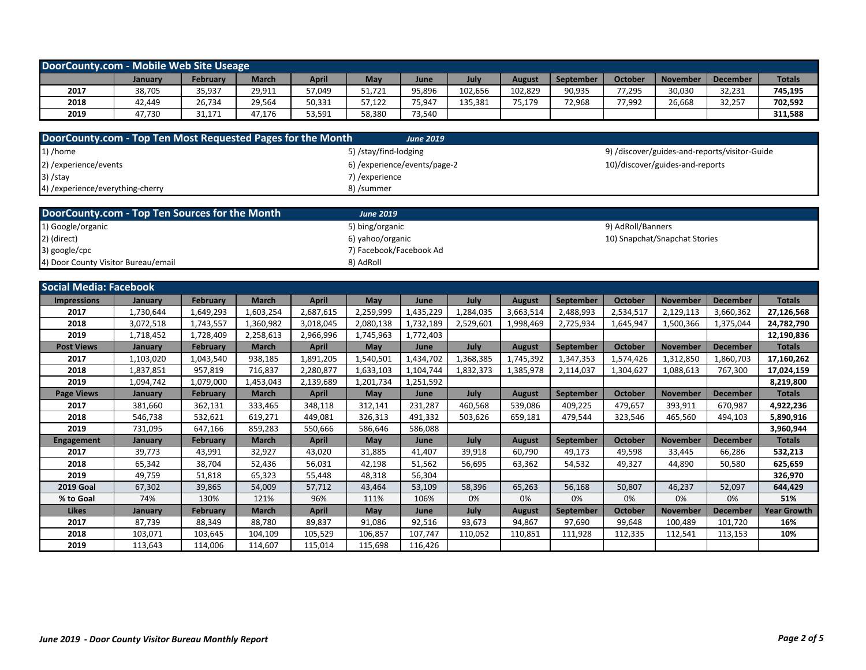| DoorCounty.com - Mobile Web Site Useage                     |           |                 |              |              |                              |                  |           |               |                  |                   |                                               |                 |                    |
|-------------------------------------------------------------|-----------|-----------------|--------------|--------------|------------------------------|------------------|-----------|---------------|------------------|-------------------|-----------------------------------------------|-----------------|--------------------|
|                                                             | January   | February        | <b>March</b> | <b>April</b> | May                          | June             | July      | <b>August</b> | September        | <b>October</b>    | <b>November</b>                               | <b>December</b> | <b>Totals</b>      |
| 2017                                                        | 38,705    | 35,937          | 29,911       | 57,049       | 51,721                       | 95,896           | 102,656   | 102,829       | 90,935           | 77,295            | 30,030                                        | 32,231          | 745,195            |
| 2018                                                        | 42,449    | 26,734          | 29,564       | 50,331       | 57,122                       | 75,947           | 135,381   | 75,179        | 72,968           | 77,992            | 26,668                                        | 32,257          | 702,592            |
| 2019                                                        | 47,730    | 31,171          | 47,176       | 53,591       | 58,380                       | 73,540           |           |               |                  |                   |                                               |                 | 311,588            |
|                                                             |           |                 |              |              |                              |                  |           |               |                  |                   |                                               |                 |                    |
| DoorCounty.com - Top Ten Most Requested Pages for the Month |           |                 |              |              |                              | <b>June 2019</b> |           |               |                  |                   |                                               |                 |                    |
| 1) /home                                                    |           |                 |              |              | 5) /stay/find-lodging        |                  |           |               |                  |                   | 9) /discover/guides-and-reports/visitor-Guide |                 |                    |
| 2) / experience/ events                                     |           |                 |              |              | 6) /experience/events/page-2 |                  |           |               |                  |                   | 10)/discover/guides-and-reports               |                 |                    |
| 3) /stay                                                    |           |                 |              |              | 7) / experience              |                  |           |               |                  |                   |                                               |                 |                    |
| 4) /experience/everything-cherry                            |           |                 |              |              | 8) /summer                   |                  |           |               |                  |                   |                                               |                 |                    |
|                                                             |           |                 |              |              |                              |                  |           |               |                  |                   |                                               |                 |                    |
| DoorCounty.com - Top Ten Sources for the Month              |           |                 |              |              | <b>June 2019</b>             |                  |           |               |                  |                   |                                               |                 |                    |
| 1) Google/organic                                           |           |                 |              |              | 5) bing/organic              |                  |           |               |                  | 9) AdRoll/Banners |                                               |                 |                    |
| 2) (direct)                                                 |           |                 |              |              | 6) yahoo/organic             |                  |           |               |                  |                   | 10) Snapchat/Snapchat Stories                 |                 |                    |
| 3) google/cpc                                               |           |                 |              |              | 7) Facebook/Facebook Ad      |                  |           |               |                  |                   |                                               |                 |                    |
| 4) Door County Visitor Bureau/email                         |           |                 |              |              | 8) AdRoll                    |                  |           |               |                  |                   |                                               |                 |                    |
|                                                             |           |                 |              |              |                              |                  |           |               |                  |                   |                                               |                 |                    |
| <b>Social Media: Facebook</b>                               |           |                 |              |              |                              |                  |           |               |                  |                   |                                               |                 |                    |
| <b>Impressions</b>                                          | January   | February        | <b>March</b> | <b>April</b> | May                          | June             | July      | <b>August</b> | September        | October           | <b>November</b>                               | <b>December</b> | <b>Totals</b>      |
| 2017                                                        | 1,730,644 | 1,649,293       | 1,603,254    | 2,687,615    | 2,259,999                    | 1,435,229        | 1,284,035 | 3,663,514     | 2,488,993        | 2,534,517         | 2,129,113                                     | 3,660,362       | 27,126,568         |
| 2018                                                        | 3,072,518 | 1,743,557       | 1,360,982    | 3,018,045    | 2,080,138                    | 1,732,189        | 2,529,601 | 1,998,469     | 2,725,934        | 1,645,947         | 1,500,366                                     | 1,375,044       | 24,782,790         |
| 2019                                                        | 1,718,452 | 1,728,409       | 2,258,613    | 2,966,996    | 1,745,963                    | 1,772,403        |           |               |                  |                   |                                               |                 | 12,190,836         |
| <b>Post Views</b>                                           | January   | February        | <b>March</b> | <b>April</b> | May                          | June             | July      | <b>August</b> | September        | <b>October</b>    | <b>November</b>                               | <b>December</b> | <b>Totals</b>      |
| 2017                                                        | 1,103,020 | 1,043,540       | 938,185      | 1,891,205    | 1,540,501                    | 1,434,702        | 1,368,385 | 1,745,392     | 1,347,353        | 1,574,426         | 1,312,850                                     | 1,860,703       | 17,160,262         |
| 2018                                                        | 1,837,851 | 957,819         | 716,837      | 2,280,877    | 1,633,103                    | 1,104,744        | 1,832,373 | 1,385,978     | 2,114,037        | 1,304,627         | 1,088,613                                     | 767,300         | 17,024,159         |
| 2019                                                        | 1,094,742 | 1,079,000       | 1,453,043    | 2,139,689    | 1,201,734                    | 1,251,592        |           |               |                  |                   |                                               |                 | 8,219,800          |
| <b>Page Views</b>                                           | January   | <b>February</b> | <b>March</b> | <b>April</b> | May                          | June             | July      | <b>August</b> | <b>September</b> | October           | <b>November</b>                               | <b>December</b> | <b>Totals</b>      |
| 2017                                                        | 381,660   | 362,131         | 333,465      | 348,118      | 312,141                      | 231,287          | 460,568   | 539,086       | 409,225          | 479,657           | 393,911                                       | 670,987         | 4,922,236          |
| 2018                                                        | 546,738   | 532,621         | 619,271      | 449,081      | 326,313                      | 491,332          | 503,626   | 659,181       | 479,544          | 323,546           | 465,560                                       | 494,103         | 5,890,916          |
| 2019                                                        | 731,095   | 647,166         | 859,283      | 550,666      | 586,646                      | 586,088          |           |               |                  |                   |                                               |                 | 3,960,944          |
| <b>Engagement</b>                                           | January   | February        | <b>March</b> | <b>April</b> | May                          | June             | July      | <b>August</b> | <b>September</b> | <b>October</b>    | <b>November</b>                               | <b>December</b> | <b>Totals</b>      |
| 2017                                                        | 39,773    | 43,991          | 32,927       | 43,020       | 31,885                       | 41,407           | 39,918    | 60,790        | 49,173           | 49,598            | 33,445                                        | 66,286          | 532,213            |
| 2018                                                        | 65,342    | 38,704          | 52,436       | 56,031       | 42,198                       | 51,562           | 56,695    | 63,362        | 54,532           | 49,327            | 44,890                                        | 50,580          | 625,659            |
| 2019                                                        | 49,759    | 51,818          | 65,323       | 55,448       | 48,318                       | 56,304           |           |               |                  |                   |                                               |                 | 326,970            |
| <b>2019 Goal</b>                                            | 67,302    | 39,865          | 54,009       | 57,712       | 43,464                       | 53,109           | 58,396    | 65,263        | 56,168           | 50,807            | 46,237                                        | 52,097          | 644,429            |
| % to Goal                                                   | 74%       | 130%            | 121%         | 96%          | 111%                         | 106%             | 0%        | 0%            | 0%               | 0%                | 0%                                            | 0%              | 51%                |
| <b>Likes</b>                                                | January   | February        | <b>March</b> | <b>April</b> | May                          | June             | July      | <b>August</b> | September        | <b>October</b>    | <b>November</b>                               | <b>December</b> | <b>Year Growth</b> |
| 2017                                                        | 87,739    | 88,349          | 88,780       | 89,837       | 91,086                       | 92,516           | 93,673    | 94,867        | 97,690           | 99,648            | 100,489                                       | 101,720         | 16%                |
| 2018                                                        | 103,071   | 103,645         | 104,109      | 105,529      | 106,857                      | 107,747          | 110,052   | 110,851       | 111,928          | 112,335           | 112,541                                       | 113,153         | 10%                |
| 2019                                                        | 113,643   | 114,006         | 114,607      | 115,014      | 115,698                      | 116,426          |           |               |                  |                   |                                               |                 |                    |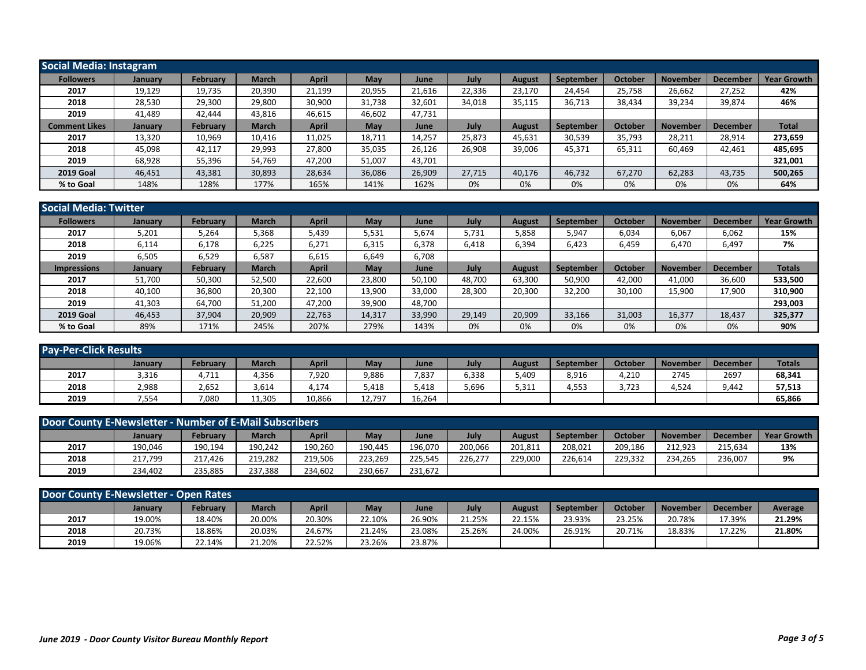| Social Media: Instagram |                |                 |              |              |        |        |        |               |           |                |                 |                 |                    |
|-------------------------|----------------|-----------------|--------------|--------------|--------|--------|--------|---------------|-----------|----------------|-----------------|-----------------|--------------------|
| <b>Followers</b>        | <b>January</b> | <b>February</b> | <b>March</b> | <b>April</b> | May    | June   | July   | <b>August</b> | September | <b>October</b> | <b>November</b> | <b>December</b> | <b>Year Growth</b> |
| 2017                    | 19,129         | 19,735          | 20,390       | 21,199       | 20,955 | 21,616 | 22,336 | 23,170        | 24,454    | 25,758         | 26,662          | 27,252          | 42%                |
| 2018                    | 28,530         | 29,300          | 29,800       | 30,900       | 31,738 | 32,601 | 34,018 | 35,115        | 36,713    | 38,434         | 39,234          | 39,874          | 46%                |
| 2019                    | 41,489         | 42,444          | 43,816       | 46,615       | 46,602 | 47,731 |        |               |           |                |                 |                 |                    |
| <b>Comment Likes</b>    | January        | <b>February</b> | <b>March</b> | April        | May    | June   | July   | <b>August</b> | September | October        | <b>November</b> | December        | <b>Total</b>       |
| 2017                    | 13,320         | 10,969          | 10,416       | 11,025       | 18,711 | 14,257 | 25,873 | 45,631        | 30,539    | 35,793         | 28,211          | 28,914          | 273,659            |
| 2018                    | 45.098         | 42.117          | 29,993       | 27,800       | 35,035 | 26,126 | 26.908 | 39,006        | 45,371    | 65,311         | 60.469          | 42,461          | 485,695            |
| 2019                    | 68,928         | 55,396          | 54,769       | 47,200       | 51,007 | 43,701 |        |               |           |                |                 |                 | 321,001            |
| <b>2019 Goal</b>        | 46,451         | 43,381          | 30,893       | 28,634       | 36,086 | 26,909 | 27.715 | 40,176        | 46,732    | 67,270         | 62,283          | 43,735          | 500,265            |
| % to Goal               | 148%           | 128%            | 177%         | 165%         | 141%   | 162%   | 0%     | 0%            | 0%        | 0%             | 0%              | 0%              | 64%                |

| <b>Social Media: Twitter</b> |                |          |              |              |        |        |        |        |                  |         |          |                 |                    |
|------------------------------|----------------|----------|--------------|--------------|--------|--------|--------|--------|------------------|---------|----------|-----------------|--------------------|
| <b>Followers</b>             | January        | February | <b>March</b> | <b>April</b> | May    | June   | July   | August | <b>September</b> | October | Novembeı | <b>December</b> | <b>Year Growth</b> |
| 2017                         | 5,201          | 5,264    | 5,368        | 5,439        | 5,531  | 5,674  | 5,731  | 5,858  | 5,947            | 6,034   | 6,067    | 6,062           | 15%                |
| 2018                         | 6,114          | 6,178    | 6,225        | 6,271        | 6,315  | 6,378  | 6,418  | 6,394  | 6,423            | 6,459   | 6,470    | 6,497           | 7%                 |
| 2019                         | 6,505          | 6,529    | 6,587        | 6,615        | 6,649  | 6,708  |        |        |                  |         |          |                 |                    |
| <b>Impressions</b>           | <b>January</b> | February | <b>March</b> | <b>April</b> | May    | June   | July   | August | <b>September</b> | October | November | <b>December</b> | <b>Totals</b>      |
| 2017                         | 51,700         | 50,300   | 52,500       | 22,600       | 23.800 | 50,100 | 48,700 | 63,300 | 50,900           | 42,000  | 41,000   | 36,600          | 533,500            |
| 2018                         | 40,100         | 36,800   | 20,300       | 22,100       | 13,900 | 33,000 | 28,300 | 20,300 | 32,200           | 30,100  | 15,900   | 17,900          | 310,900            |
| 2019                         | 41,303         | 64,700   | 51,200       | 47,200       | 39,900 | 48,700 |        |        |                  |         |          |                 | 293,003            |
| <b>2019 Goal</b>             | 46,453         | 37,904   | 20,909       | 22,763       | 14,317 | 33,990 | 29,149 | 20,909 | 33,166           | 31,003  | 16,377   | 18,437          | 325,377            |
| % to Goal                    | 89%            | 171%     | 245%         | 207%         | 279%   | 143%   | 0%     | 0%     | 0%               | 0%      | 0%       | 0%              | 90%                |

| <b>Pay-Per-Click Results</b> |         |          |              |              |            |        |       |        |                  |         |                 |                 |               |
|------------------------------|---------|----------|--------------|--------------|------------|--------|-------|--------|------------------|---------|-----------------|-----------------|---------------|
|                              | January | Februarv | <b>March</b> | <b>April</b> | <b>May</b> | June   | July  | August | <b>September</b> | October | <b>November</b> | <b>December</b> | <b>Totals</b> |
| 2017                         | 3,316   | 4,711    | 4,356        | 7,920        | 9,886      | 7,837  | 6,338 | 5,409  | 8,916            | 4,210   | 2745            | 2697            | 68,341        |
| 2018                         | 2,988   | 2,652    | 3,614        | 4,174        | 5,418      | 5.418  | 5,696 | 5,311  | 4,553            | 3.723   | 4,524           | 9.442           | 57,513        |
| 2019                         | 7,554   | 7,080    | 11,305       | 10,866       | 12.797     | 16,264 |       |        |                  |         |                 |                 | 65,866        |

| Door County E-Newsletter - Number of E-Mail Subscribers |         |                 |              |              |         |         |         |               |           |         |                 |                 |                    |
|---------------------------------------------------------|---------|-----------------|--------------|--------------|---------|---------|---------|---------------|-----------|---------|-----------------|-----------------|--------------------|
|                                                         | January | <b>February</b> | <b>March</b> | <b>April</b> | May     | June    | July    | <b>August</b> | September | October | <b>November</b> | <b>December</b> | <b>Year Growth</b> |
| 2017                                                    | 190,046 | 190,194         | 190,242      | 190,260      | 190.445 | 196,070 | 200,066 | 201,811       | 208,021   | 209,186 | 212.923         | 215,634         | 13%                |
| 2018                                                    | 217,799 | 217.426         | 219,282      | 219,506      | 223.269 | 225,545 | 226.277 | 229,000       | 226,614   | 229.332 | 234,265         | 236,007         | 9%                 |
| 2019                                                    | 234.402 | 235.885         | 237,388      | 234,602      | 230,667 | 231,672 |         |               |           |         |                 |                 |                    |

| <b>Door County E-Newsletter - Open Rates</b> |         |                 |        |        |        |        |        |        |           |         |                 |          |         |
|----------------------------------------------|---------|-----------------|--------|--------|--------|--------|--------|--------|-----------|---------|-----------------|----------|---------|
|                                              | January | <b>February</b> | March  | April  | May    | June   | July   | August | September | October | <b>November</b> | December | Average |
| 2017                                         | 19.00%  | 18.40%          | 20.00% | 20.30% | 22.10% | 26.90% | 21.25% | 22.15% | 23.93%    | 23.25%  | 20.78%          | L7.39%   | 21.29%  |
| 2018                                         | 20.73%  | 18.86%          | 20.03% | 24.67% | 21.24% | 23.08% | 25.26% | 24.00% | 26.91%    | 20.71%  | 18.83%          | 17.22%   | 21.80%  |
| 2019                                         | 19.06%  | 22.14%          | 21.20% | 22.52% | 23.26% | 23.87% |        |        |           |         |                 |          |         |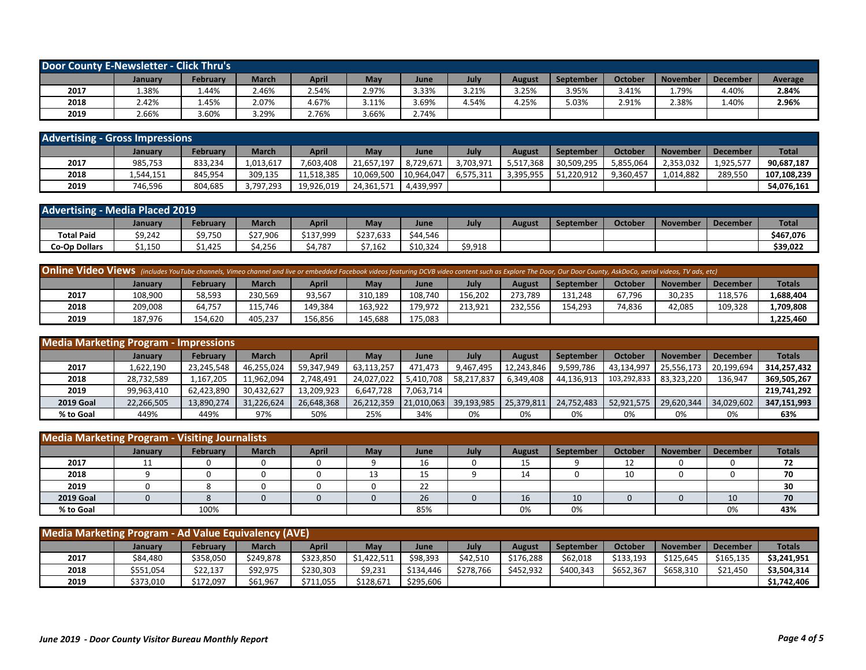| Door County E-Newsletter - Click Thru's |         |                 |              |       |       |       |       |               |           |         |                 |                 |         |
|-----------------------------------------|---------|-----------------|--------------|-------|-------|-------|-------|---------------|-----------|---------|-----------------|-----------------|---------|
|                                         | January | <b>February</b> | <b>March</b> | April | May   | June  | July  | <b>August</b> | September | October | <b>November</b> | <b>December</b> | Average |
| 2017                                    | .38%    | 1.44%           | 2.46%        | 2.54% | 2.97% | 3.33% | 3.21% | 3.25%         | 3.95%     | 3.41%   | 1.79%           | 4.40%           | 2.84%   |
| 2018                                    | 2.42%   | 1.45%           | 2.07%        | 4.67% | 3.11% | 3.69% | 4.54% | 4.25%         | 5.03%     | 2.91%   | 2.38%           | 1.40%           | 2.96%   |
| 2019                                    | 2.66%   | 3.60%           | 3.29%        | 2.76% | 3.66% | 2.74% |       |               |           |         |                 |                 |         |

| <b>Advertising - Gross Impressions</b> |           |          |           |            |            |             |           |           |                  |           |                 |                 |              |
|----------------------------------------|-----------|----------|-----------|------------|------------|-------------|-----------|-----------|------------------|-----------|-----------------|-----------------|--------------|
|                                        | Januarv   | February | March     | April      | May        | <b>June</b> | July      | August    | <b>September</b> | October   | <b>November</b> | <b>December</b> | <b>Total</b> |
| 2017                                   | 985,753   | 833,234  | 1,013,617 | ,603,408   | 21,657,197 | 8,729,671   | 3,703,971 | 5,517,368 | 30,509,295       | 5,855,064 | 2,353,032       | 1,925,57        | 90,687,187   |
| 2018                                   | 1,544,151 | 845.954  | 309.135   | 11.518.385 | 10.069.500 | 10.964.047  | 6.575.311 | 3.395.955 | 51.220.912       | 9,360,457 | 1,014,882       | 289,550         | 107.108.239  |
| 2019                                   | 746.596   | 804,685  | 3,797,293 | 19,926,019 | 24,361,571 | 4,439,997   |           |           |                  |           |                 |                 | 54,076,161   |

| <b>Advertising - Media Placed 2019</b> |         |          |              |           |            |          |         |               |           |         |                 |          |              |
|----------------------------------------|---------|----------|--------------|-----------|------------|----------|---------|---------------|-----------|---------|-----------------|----------|--------------|
|                                        | January | Februarv | <b>March</b> | April     | <b>May</b> | June     | July    | <b>August</b> | September | October | <b>November</b> | December | <b>Total</b> |
| <b>Total Paid</b>                      | \$9,242 | \$9,750  | \$27,906     | \$137,999 | \$237,633  | \$44,546 |         |               |           |         |                 |          | \$467,076    |
| Co-Op Dollars                          | 1,150د  | \$1,425  | \$4,256      | 54,787    | \$7,162    | \$10,324 | \$9,918 |               |           |         |                 |          | \$39,022     |

| Online Video Views (includes YouTube channels, Vimeo channel and live or embedded Facebook videos featuring DCVB video content such as Explore The Door, Our Door County, AskDoCo, aerial videos, TV ads, etc) |         |                 |         |              |         |         |         |         |           |         |                 |                 |               |
|----------------------------------------------------------------------------------------------------------------------------------------------------------------------------------------------------------------|---------|-----------------|---------|--------------|---------|---------|---------|---------|-----------|---------|-----------------|-----------------|---------------|
|                                                                                                                                                                                                                | January | <b>February</b> | March   | <b>April</b> | May     | June    | July    | August  | September | October | <b>November</b> | <b>December</b> | <b>Totals</b> |
| 2017                                                                                                                                                                                                           | 108,900 | 58,593          | 230,569 | 93,567       | 310,189 | 108.740 | 156.202 | 273.789 | 131,248   | 67,796  | 30,235          | 118,576         | 1,688,404     |
| 2018                                                                                                                                                                                                           | 209,008 | 64,757          | 115.746 | 149.384      | 163.922 | 179.972 | 213.921 | 232.556 | 154.293   | 74.836  | 42,085          | 109.328         | 1,709,808     |
| 2019                                                                                                                                                                                                           | 187,976 | 154,620         | 405,237 | 156,856      | 145,688 | 175,083 |         |         |           |         |                 |                 | 1,225,460     |

| <b>Media Marketing Program - Impressions</b> |            |                 |            |            |            |            |            |               |                  |             |                 |                 |               |
|----------------------------------------------|------------|-----------------|------------|------------|------------|------------|------------|---------------|------------------|-------------|-----------------|-----------------|---------------|
|                                              | January    | <b>February</b> | March      | April      | May        | June       | July       | <b>August</b> | <b>September</b> | October     | <b>November</b> | <b>December</b> | <b>Totals</b> |
| 2017                                         | 1,622,190  | 23,245,548      | 46,255,024 | 59,347,949 | 63.113.257 | 471.473    | 9.467.495  | 12.243.846    | 9,599,786        | 43,134,997  | 25.556.173      | 20.199.694      | 314,257,432   |
| 2018                                         | 28,732,589 | 1,167,205       | 11,962,094 | 2,748,491  | 24.027.022 | 5,410,708  | 58,217,837 | 6,349,408     | 44,136,913       | 103,292,833 | 83,323,220      | 136,947         | 369,505,267   |
| 2019                                         | 99.963.410 | 62,423,890      | 30,432,627 | 13.209.923 | 6.647.728  | 7,063,714  |            |               |                  |             |                 |                 | 219.741.292   |
| <b>2019 Goal</b>                             | 22,266,505 | 13,890,274      | 31,226,624 | 26,648,368 | 26.212.359 | 21.010.063 | 39,193,985 | 25,379,811    | 24.752.483       | 52,921,575  | 29,620,344      | 34,029,602      | 347,151,993   |
| % to Goal                                    | 449%       | 449%            | 97%        | 50%        | 25%        | 34%        | 0%         | 0%            | 0%               | 0%          | 0%              | 0%              | 63%           |

| <b>Media Marketing Program - Visiting Journalists</b> |                |                 |              |              |     |                          |      |               |           |         |                 |          |               |
|-------------------------------------------------------|----------------|-----------------|--------------|--------------|-----|--------------------------|------|---------------|-----------|---------|-----------------|----------|---------------|
|                                                       | <b>January</b> | <b>February</b> | <b>March</b> | <b>April</b> | May | June                     | July | <b>August</b> | September | October | <b>November</b> | December | <b>Totals</b> |
| 2017                                                  | <b>. .</b>     |                 |              |              |     | ΤD                       |      | 15            |           | 12<br>ᅩ |                 |          | 72            |
| 2018                                                  |                |                 |              |              |     | ---                      |      | 14            |           | 10      |                 |          | 70            |
| 2019                                                  |                |                 |              |              |     | $\mathbf{\hat{z}}$<br>∠∠ |      |               |           |         |                 |          | 30            |
| <b>2019 Goal</b>                                      |                |                 |              |              |     | 26                       |      | 16            | 10        |         |                 | 10       | 70            |
| % to Goal                                             |                | 100%            |              |              |     | 85%                      |      | 0%            | 0%        |         |                 | 0%       | 43%           |

| Media Marketing Program - Ad Value Equivalency (AVE) |                |           |              |              |             |           |           |               |                  |           |                 |                 |               |
|------------------------------------------------------|----------------|-----------|--------------|--------------|-------------|-----------|-----------|---------------|------------------|-----------|-----------------|-----------------|---------------|
|                                                      | <b>January</b> | Februarv  | <b>March</b> | <b>April</b> | Mav         | June      | July      | <b>August</b> | <b>September</b> | October   | <b>November</b> | <b>December</b> | <b>Totals</b> |
| 2017                                                 | \$84,480       | \$358,050 | \$249,878    | \$323,850    | \$1,422,511 | \$98,393  | \$42.510  | \$176,288     | \$62,018         | \$133.193 | \$125.645       | \$165,135       | \$3,241,951   |
| 2018                                                 | \$551,054      | \$22,137  | \$92,975     | \$230,303    | \$9,231     | \$134,446 | \$278,766 | \$452,932     | \$400.343        | \$652,367 | \$658,310       | \$21,450        | \$3,504,314   |
| 2019                                                 | \$373,010      | \$172,097 | \$61,967     | \$711,055    | \$128,671   | \$295,606 |           |               |                  |           |                 |                 | \$1,742,406   |